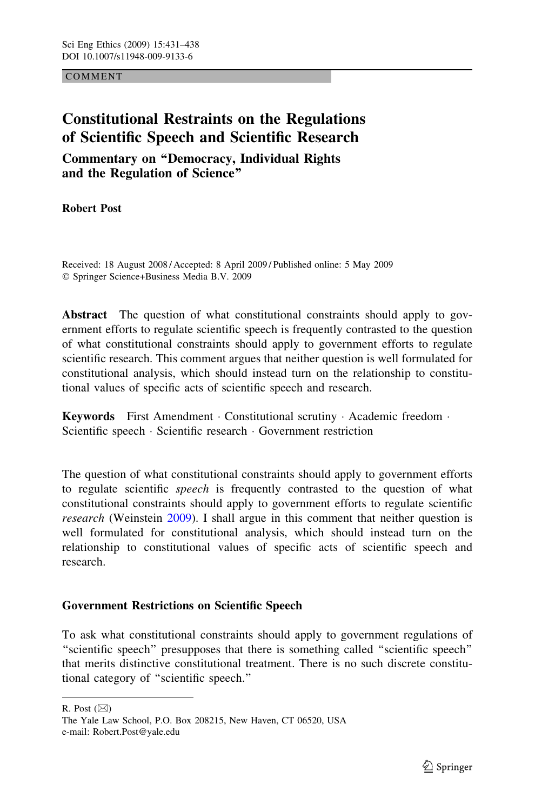COMMENT

## Constitutional Restraints on the Regulations of Scientific Speech and Scientific Research

Commentary on ''Democracy, Individual Rights and the Regulation of Science''

Robert Post

Received: 18 August 2008 / Accepted: 8 April 2009 / Published online: 5 May 2009 Springer Science+Business Media B.V. 2009

Abstract The question of what constitutional constraints should apply to government efforts to regulate scientific speech is frequently contrasted to the question of what constitutional constraints should apply to government efforts to regulate scientific research. This comment argues that neither question is well formulated for constitutional analysis, which should instead turn on the relationship to constitutional values of specific acts of scientific speech and research.

Keywords First Amendment · Constitutional scrutiny · Academic freedom · Scientific speech · Scientific research · Government restriction

The question of what constitutional constraints should apply to government efforts to regulate scientific speech is frequently contrasted to the question of what constitutional constraints should apply to government efforts to regulate scientific research (Weinstein [2009](#page-7-0)). I shall argue in this comment that neither question is well formulated for constitutional analysis, which should instead turn on the relationship to constitutional values of specific acts of scientific speech and research.

## Government Restrictions on Scientific Speech

To ask what constitutional constraints should apply to government regulations of ''scientific speech'' presupposes that there is something called ''scientific speech'' that merits distinctive constitutional treatment. There is no such discrete constitutional category of ''scientific speech.''

R. Post  $(\boxtimes)$ 

The Yale Law School, P.O. Box 208215, New Haven, CT 06520, USA

e-mail: Robert.Post@yale.edu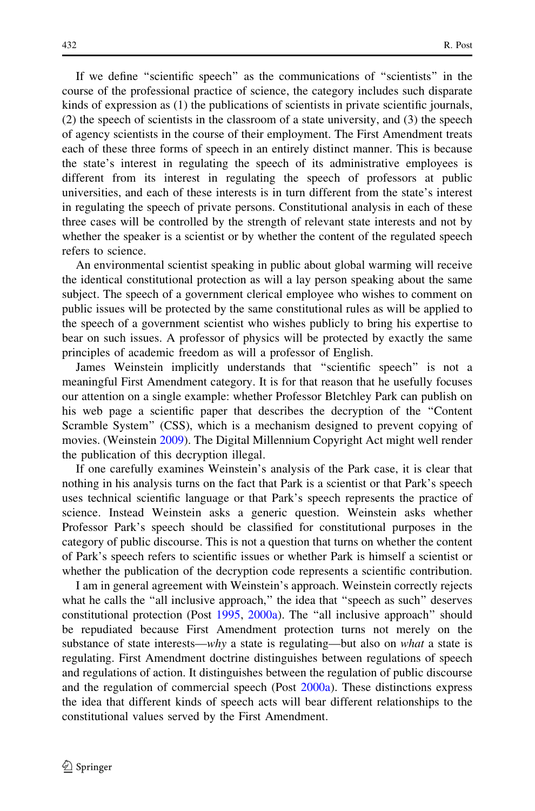If we define ''scientific speech'' as the communications of ''scientists'' in the course of the professional practice of science, the category includes such disparate kinds of expression as (1) the publications of scientists in private scientific journals, (2) the speech of scientists in the classroom of a state university, and (3) the speech of agency scientists in the course of their employment. The First Amendment treats each of these three forms of speech in an entirely distinct manner. This is because the state's interest in regulating the speech of its administrative employees is different from its interest in regulating the speech of professors at public universities, and each of these interests is in turn different from the state's interest in regulating the speech of private persons. Constitutional analysis in each of these three cases will be controlled by the strength of relevant state interests and not by whether the speaker is a scientist or by whether the content of the regulated speech refers to science.

An environmental scientist speaking in public about global warming will receive the identical constitutional protection as will a lay person speaking about the same subject. The speech of a government clerical employee who wishes to comment on public issues will be protected by the same constitutional rules as will be applied to the speech of a government scientist who wishes publicly to bring his expertise to bear on such issues. A professor of physics will be protected by exactly the same principles of academic freedom as will a professor of English.

James Weinstein implicitly understands that ''scientific speech'' is not a meaningful First Amendment category. It is for that reason that he usefully focuses our attention on a single example: whether Professor Bletchley Park can publish on his web page a scientific paper that describes the decryption of the ''Content Scramble System'' (CSS), which is a mechanism designed to prevent copying of movies. (Weinstein [2009](#page-7-0)). The Digital Millennium Copyright Act might well render the publication of this decryption illegal.

If one carefully examines Weinstein's analysis of the Park case, it is clear that nothing in his analysis turns on the fact that Park is a scientist or that Park's speech uses technical scientific language or that Park's speech represents the practice of science. Instead Weinstein asks a generic question. Weinstein asks whether Professor Park's speech should be classified for constitutional purposes in the category of public discourse. This is not a question that turns on whether the content of Park's speech refers to scientific issues or whether Park is himself a scientist or whether the publication of the decryption code represents a scientific contribution.

I am in general agreement with Weinstein's approach. Weinstein correctly rejects what he calls the "all inclusive approach," the idea that "speech as such" deserves constitutional protection (Post [1995,](#page-7-0) [2000a](#page-7-0)). The ''all inclusive approach'' should be repudiated because First Amendment protection turns not merely on the substance of state interests—why a state is regulating—but also on what a state is regulating. First Amendment doctrine distinguishes between regulations of speech and regulations of action. It distinguishes between the regulation of public discourse and the regulation of commercial speech (Post [2000a\)](#page-7-0). These distinctions express the idea that different kinds of speech acts will bear different relationships to the constitutional values served by the First Amendment.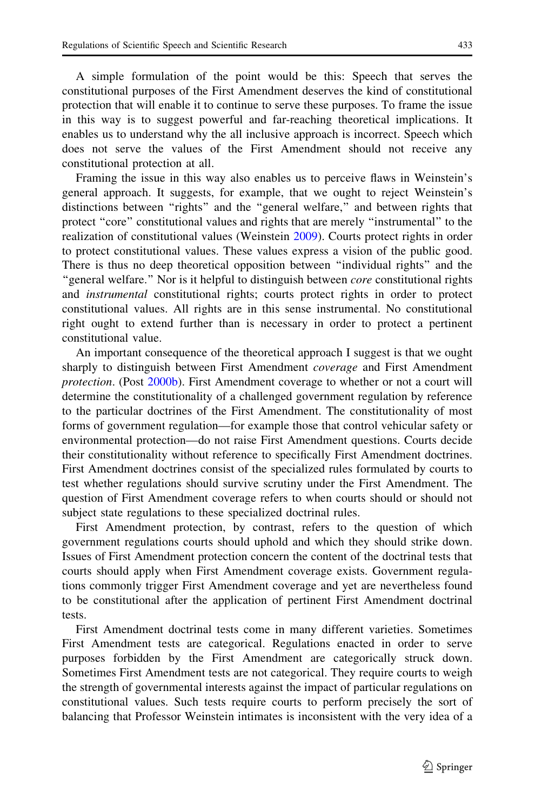A simple formulation of the point would be this: Speech that serves the constitutional purposes of the First Amendment deserves the kind of constitutional protection that will enable it to continue to serve these purposes. To frame the issue in this way is to suggest powerful and far-reaching theoretical implications. It enables us to understand why the all inclusive approach is incorrect. Speech which does not serve the values of the First Amendment should not receive any constitutional protection at all.

Framing the issue in this way also enables us to perceive flaws in Weinstein's general approach. It suggests, for example, that we ought to reject Weinstein's distinctions between "rights" and the "general welfare," and between rights that protect ''core'' constitutional values and rights that are merely ''instrumental'' to the realization of constitutional values (Weinstein [2009](#page-7-0)). Courts protect rights in order to protect constitutional values. These values express a vision of the public good. There is thus no deep theoretical opposition between ''individual rights'' and the "general welfare." Nor is it helpful to distinguish between *core* constitutional rights and instrumental constitutional rights; courts protect rights in order to protect constitutional values. All rights are in this sense instrumental. No constitutional right ought to extend further than is necessary in order to protect a pertinent constitutional value.

An important consequence of the theoretical approach I suggest is that we ought sharply to distinguish between First Amendment *coverage* and First Amendment protection. (Post [2000b](#page-7-0)). First Amendment coverage to whether or not a court will determine the constitutionality of a challenged government regulation by reference to the particular doctrines of the First Amendment. The constitutionality of most forms of government regulation—for example those that control vehicular safety or environmental protection—do not raise First Amendment questions. Courts decide their constitutionality without reference to specifically First Amendment doctrines. First Amendment doctrines consist of the specialized rules formulated by courts to test whether regulations should survive scrutiny under the First Amendment. The question of First Amendment coverage refers to when courts should or should not subject state regulations to these specialized doctrinal rules.

First Amendment protection, by contrast, refers to the question of which government regulations courts should uphold and which they should strike down. Issues of First Amendment protection concern the content of the doctrinal tests that courts should apply when First Amendment coverage exists. Government regulations commonly trigger First Amendment coverage and yet are nevertheless found to be constitutional after the application of pertinent First Amendment doctrinal tests.

First Amendment doctrinal tests come in many different varieties. Sometimes First Amendment tests are categorical. Regulations enacted in order to serve purposes forbidden by the First Amendment are categorically struck down. Sometimes First Amendment tests are not categorical. They require courts to weigh the strength of governmental interests against the impact of particular regulations on constitutional values. Such tests require courts to perform precisely the sort of balancing that Professor Weinstein intimates is inconsistent with the very idea of a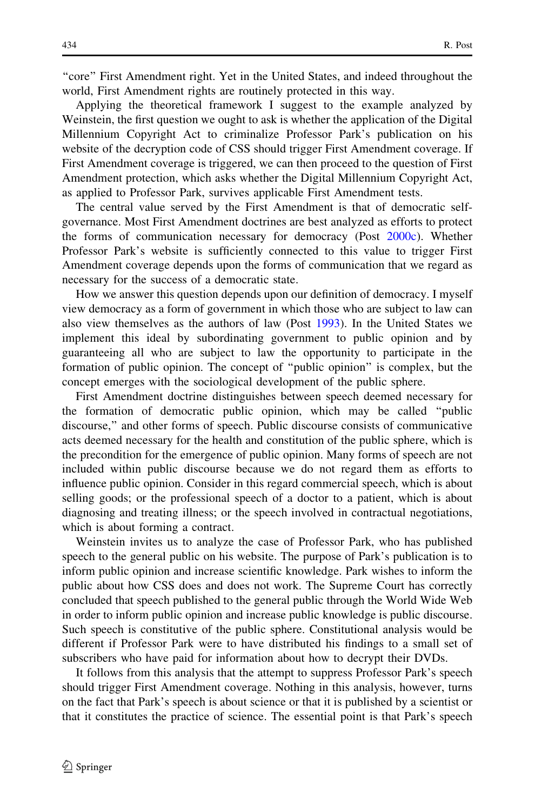''core'' First Amendment right. Yet in the United States, and indeed throughout the world, First Amendment rights are routinely protected in this way.

Applying the theoretical framework I suggest to the example analyzed by Weinstein, the first question we ought to ask is whether the application of the Digital Millennium Copyright Act to criminalize Professor Park's publication on his website of the decryption code of CSS should trigger First Amendment coverage. If First Amendment coverage is triggered, we can then proceed to the question of First Amendment protection, which asks whether the Digital Millennium Copyright Act, as applied to Professor Park, survives applicable First Amendment tests.

The central value served by the First Amendment is that of democratic selfgovernance. Most First Amendment doctrines are best analyzed as efforts to protect the forms of communication necessary for democracy (Post [2000c](#page-7-0)). Whether Professor Park's website is sufficiently connected to this value to trigger First Amendment coverage depends upon the forms of communication that we regard as necessary for the success of a democratic state.

How we answer this question depends upon our definition of democracy. I myself view democracy as a form of government in which those who are subject to law can also view themselves as the authors of law (Post [1993\)](#page-7-0). In the United States we implement this ideal by subordinating government to public opinion and by guaranteeing all who are subject to law the opportunity to participate in the formation of public opinion. The concept of ''public opinion'' is complex, but the concept emerges with the sociological development of the public sphere.

First Amendment doctrine distinguishes between speech deemed necessary for the formation of democratic public opinion, which may be called ''public discourse,'' and other forms of speech. Public discourse consists of communicative acts deemed necessary for the health and constitution of the public sphere, which is the precondition for the emergence of public opinion. Many forms of speech are not included within public discourse because we do not regard them as efforts to influence public opinion. Consider in this regard commercial speech, which is about selling goods; or the professional speech of a doctor to a patient, which is about diagnosing and treating illness; or the speech involved in contractual negotiations, which is about forming a contract.

Weinstein invites us to analyze the case of Professor Park, who has published speech to the general public on his website. The purpose of Park's publication is to inform public opinion and increase scientific knowledge. Park wishes to inform the public about how CSS does and does not work. The Supreme Court has correctly concluded that speech published to the general public through the World Wide Web in order to inform public opinion and increase public knowledge is public discourse. Such speech is constitutive of the public sphere. Constitutional analysis would be different if Professor Park were to have distributed his findings to a small set of subscribers who have paid for information about how to decrypt their DVDs.

It follows from this analysis that the attempt to suppress Professor Park's speech should trigger First Amendment coverage. Nothing in this analysis, however, turns on the fact that Park's speech is about science or that it is published by a scientist or that it constitutes the practice of science. The essential point is that Park's speech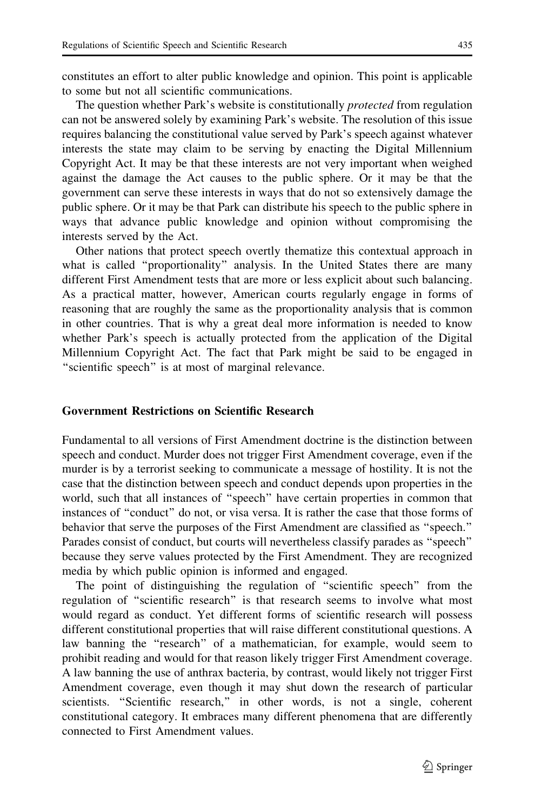constitutes an effort to alter public knowledge and opinion. This point is applicable to some but not all scientific communications.

The question whether Park's website is constitutionally *protected* from regulation can not be answered solely by examining Park's website. The resolution of this issue requires balancing the constitutional value served by Park's speech against whatever interests the state may claim to be serving by enacting the Digital Millennium Copyright Act. It may be that these interests are not very important when weighed against the damage the Act causes to the public sphere. Or it may be that the government can serve these interests in ways that do not so extensively damage the public sphere. Or it may be that Park can distribute his speech to the public sphere in ways that advance public knowledge and opinion without compromising the interests served by the Act.

Other nations that protect speech overtly thematize this contextual approach in what is called "proportionality" analysis. In the United States there are many different First Amendment tests that are more or less explicit about such balancing. As a practical matter, however, American courts regularly engage in forms of reasoning that are roughly the same as the proportionality analysis that is common in other countries. That is why a great deal more information is needed to know whether Park's speech is actually protected from the application of the Digital Millennium Copyright Act. The fact that Park might be said to be engaged in "scientific speech" is at most of marginal relevance.

## Government Restrictions on Scientific Research

Fundamental to all versions of First Amendment doctrine is the distinction between speech and conduct. Murder does not trigger First Amendment coverage, even if the murder is by a terrorist seeking to communicate a message of hostility. It is not the case that the distinction between speech and conduct depends upon properties in the world, such that all instances of ''speech'' have certain properties in common that instances of ''conduct'' do not, or visa versa. It is rather the case that those forms of behavior that serve the purposes of the First Amendment are classified as ''speech.'' Parades consist of conduct, but courts will nevertheless classify parades as ''speech'' because they serve values protected by the First Amendment. They are recognized media by which public opinion is informed and engaged.

The point of distinguishing the regulation of ''scientific speech'' from the regulation of ''scientific research'' is that research seems to involve what most would regard as conduct. Yet different forms of scientific research will possess different constitutional properties that will raise different constitutional questions. A law banning the "research" of a mathematician, for example, would seem to prohibit reading and would for that reason likely trigger First Amendment coverage. A law banning the use of anthrax bacteria, by contrast, would likely not trigger First Amendment coverage, even though it may shut down the research of particular scientists. ''Scientific research,'' in other words, is not a single, coherent constitutional category. It embraces many different phenomena that are differently connected to First Amendment values.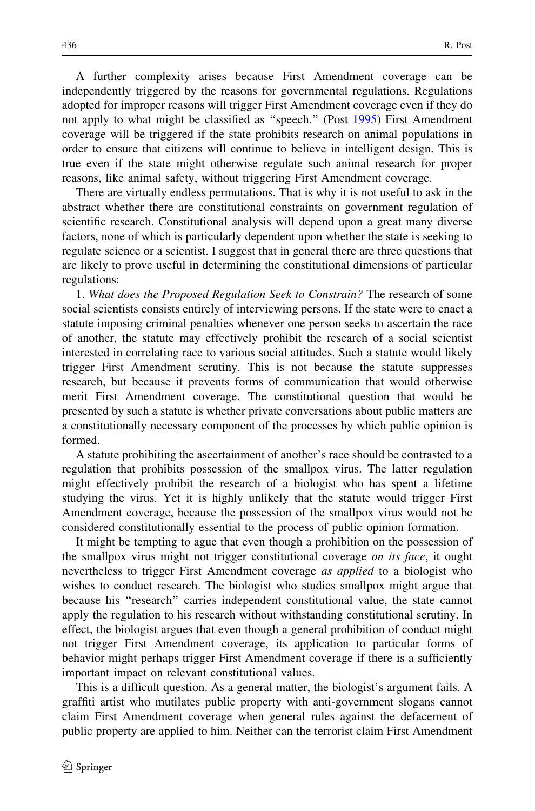A further complexity arises because First Amendment coverage can be independently triggered by the reasons for governmental regulations. Regulations adopted for improper reasons will trigger First Amendment coverage even if they do not apply to what might be classified as ''speech.'' (Post [1995\)](#page-7-0) First Amendment coverage will be triggered if the state prohibits research on animal populations in order to ensure that citizens will continue to believe in intelligent design. This is true even if the state might otherwise regulate such animal research for proper reasons, like animal safety, without triggering First Amendment coverage.

There are virtually endless permutations. That is why it is not useful to ask in the abstract whether there are constitutional constraints on government regulation of scientific research. Constitutional analysis will depend upon a great many diverse factors, none of which is particularly dependent upon whether the state is seeking to regulate science or a scientist. I suggest that in general there are three questions that are likely to prove useful in determining the constitutional dimensions of particular regulations:

1. What does the Proposed Regulation Seek to Constrain? The research of some social scientists consists entirely of interviewing persons. If the state were to enact a statute imposing criminal penalties whenever one person seeks to ascertain the race of another, the statute may effectively prohibit the research of a social scientist interested in correlating race to various social attitudes. Such a statute would likely trigger First Amendment scrutiny. This is not because the statute suppresses research, but because it prevents forms of communication that would otherwise merit First Amendment coverage. The constitutional question that would be presented by such a statute is whether private conversations about public matters are a constitutionally necessary component of the processes by which public opinion is formed.

A statute prohibiting the ascertainment of another's race should be contrasted to a regulation that prohibits possession of the smallpox virus. The latter regulation might effectively prohibit the research of a biologist who has spent a lifetime studying the virus. Yet it is highly unlikely that the statute would trigger First Amendment coverage, because the possession of the smallpox virus would not be considered constitutionally essential to the process of public opinion formation.

It might be tempting to ague that even though a prohibition on the possession of the smallpox virus might not trigger constitutional coverage *on its face*, it ought nevertheless to trigger First Amendment coverage *as applied* to a biologist who wishes to conduct research. The biologist who studies smallpox might argue that because his ''research'' carries independent constitutional value, the state cannot apply the regulation to his research without withstanding constitutional scrutiny. In effect, the biologist argues that even though a general prohibition of conduct might not trigger First Amendment coverage, its application to particular forms of behavior might perhaps trigger First Amendment coverage if there is a sufficiently important impact on relevant constitutional values.

This is a difficult question. As a general matter, the biologist's argument fails. A graffiti artist who mutilates public property with anti-government slogans cannot claim First Amendment coverage when general rules against the defacement of public property are applied to him. Neither can the terrorist claim First Amendment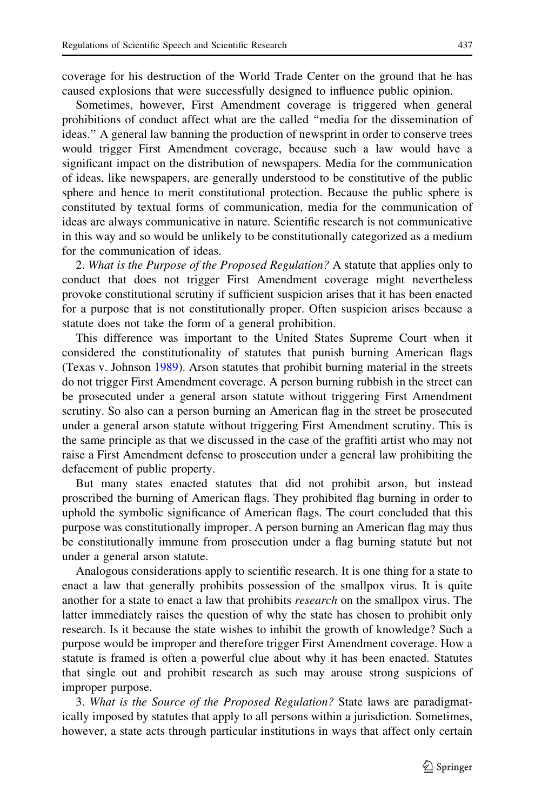coverage for his destruction of the World Trade Center on the ground that he has caused explosions that were successfully designed to influence public opinion.

Sometimes, however, First Amendment coverage is triggered when general prohibitions of conduct affect what are the called ''media for the dissemination of ideas.'' A general law banning the production of newsprint in order to conserve trees would trigger First Amendment coverage, because such a law would have a significant impact on the distribution of newspapers. Media for the communication of ideas, like newspapers, are generally understood to be constitutive of the public sphere and hence to merit constitutional protection. Because the public sphere is constituted by textual forms of communication, media for the communication of ideas are always communicative in nature. Scientific research is not communicative in this way and so would be unlikely to be constitutionally categorized as a medium for the communication of ideas.

2. What is the Purpose of the Proposed Regulation? A statute that applies only to conduct that does not trigger First Amendment coverage might nevertheless provoke constitutional scrutiny if sufficient suspicion arises that it has been enacted for a purpose that is not constitutionally proper. Often suspicion arises because a statute does not take the form of a general prohibition.

This difference was important to the United States Supreme Court when it considered the constitutionality of statutes that punish burning American flags (Texas v. Johnson [1989\)](#page-7-0). Arson statutes that prohibit burning material in the streets do not trigger First Amendment coverage. A person burning rubbish in the street can be prosecuted under a general arson statute without triggering First Amendment scrutiny. So also can a person burning an American flag in the street be prosecuted under a general arson statute without triggering First Amendment scrutiny. This is the same principle as that we discussed in the case of the graffiti artist who may not raise a First Amendment defense to prosecution under a general law prohibiting the defacement of public property.

But many states enacted statutes that did not prohibit arson, but instead proscribed the burning of American flags. They prohibited flag burning in order to uphold the symbolic significance of American flags. The court concluded that this purpose was constitutionally improper. A person burning an American flag may thus be constitutionally immune from prosecution under a flag burning statute but not under a general arson statute.

Analogous considerations apply to scientific research. It is one thing for a state to enact a law that generally prohibits possession of the smallpox virus. It is quite another for a state to enact a law that prohibits *research* on the smallpox virus. The latter immediately raises the question of why the state has chosen to prohibit only research. Is it because the state wishes to inhibit the growth of knowledge? Such a purpose would be improper and therefore trigger First Amendment coverage. How a statute is framed is often a powerful clue about why it has been enacted. Statutes that single out and prohibit research as such may arouse strong suspicions of improper purpose.

3. What is the Source of the Proposed Regulation? State laws are paradigmatically imposed by statutes that apply to all persons within a jurisdiction. Sometimes, however, a state acts through particular institutions in ways that affect only certain